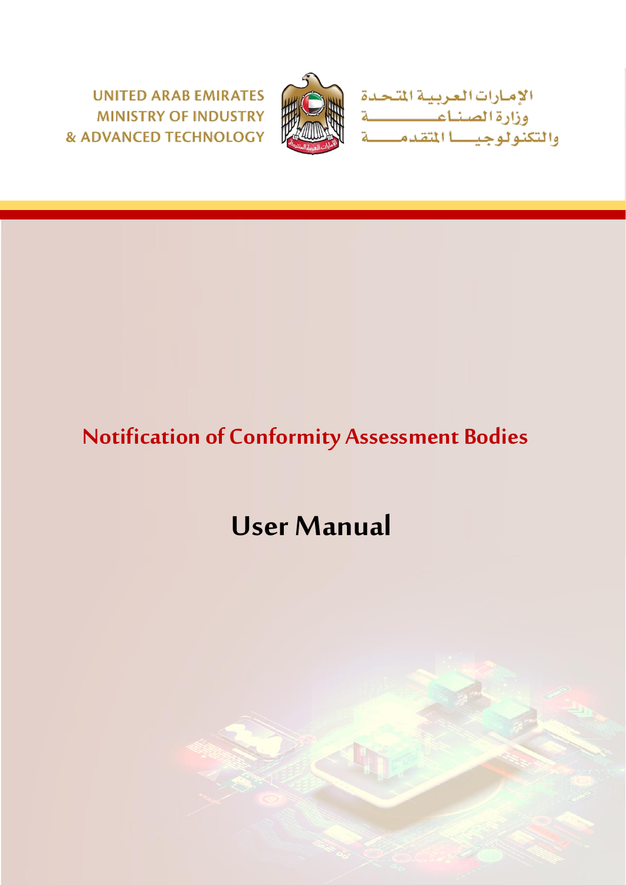**UNITED ARAB EMIRATES MINISTRY OF INDUSTRY & ADVANCED TECHNOLOGY** 



الإمارات العربيـة المتحدة<br>وزارة الصنـاعـــــــــــة<br>والتكنولوجيــــا المتقدمــــــة

## **Notification of Conformity Assessment Bodies**

# **User Manual**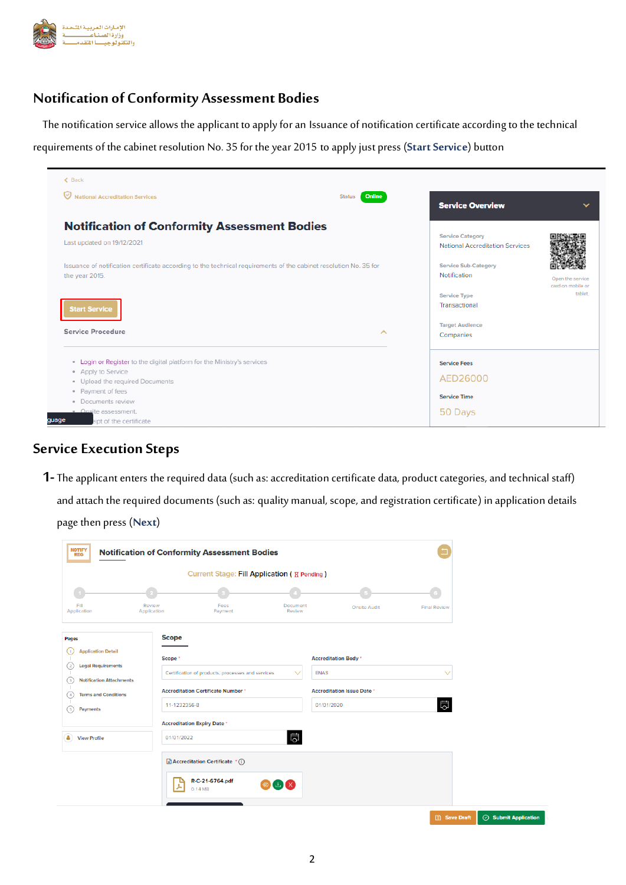

#### **Notification of Conformity Assessment Bodies**

The notification service allows the applicant to apply for an Issuance of notification certificate according to the technical

requirements of the cabinet resolution No. 35 for the year 2015 to apply just press (**Start Service**) button

| <b>National Accreditation Services</b>                                                                                              | Online<br><b>Status</b><br><b>Service Overview</b>                | $\checkmark$                          |
|-------------------------------------------------------------------------------------------------------------------------------------|-------------------------------------------------------------------|---------------------------------------|
| <b>Notification of Conformity Assessment Bodies</b>                                                                                 |                                                                   |                                       |
| Last updated on 19/12/2021                                                                                                          | <b>Service Category</b><br><b>National Accreditation Services</b> |                                       |
| Issuance of notification certificate according to the technical requirements of the cabinet resolution No. 35 for<br>the year 2015. | <b>Service Sub-Category</b><br>Notification                       | Open the service<br>card on mobile or |
| <b>Start Service</b>                                                                                                                | <b>Service Type</b><br>Transactional                              | tablet.                               |
| Service Procedure                                                                                                                   | <b>Target Audience</b><br>ㅅ<br>Companies                          |                                       |
| Login or Register to the digital platform for the Ministry's services<br>$\alpha$                                                   | <b>Service Fees</b>                                               |                                       |
| • Apply to Service                                                                                                                  | AED26000                                                          |                                       |
| · Upload the required Documents                                                                                                     |                                                                   |                                       |
| · Payment of fees<br>· Documents review                                                                                             | <b>Service Time</b>                                               |                                       |
| · Onsite assessment.                                                                                                                | 50 Days                                                           |                                       |
| quage<br>eipt of the certificate                                                                                                    |                                                                   |                                       |

#### **Service Execution Steps**

**1-**The applicant enters the required data (such as: accreditation certificate data, product categories, and technical staff) and attach the required documents (such as: quality manual, scope, and registration certificate) in application details page then press (**Next**)

|                                                                                                                                           |                         |                                                                                                | Current Stage: Fill Application ( <b>E</b> Pending ) |                                                                  |                         |
|-------------------------------------------------------------------------------------------------------------------------------------------|-------------------------|------------------------------------------------------------------------------------------------|------------------------------------------------------|------------------------------------------------------------------|-------------------------|
|                                                                                                                                           |                         |                                                                                                |                                                      |                                                                  |                         |
| Fill<br>Application                                                                                                                       | Review<br>Application   | Fees<br>Payment                                                                                | Document<br>Review                                   | <b>Onsite Audit</b>                                              | <b>Final Review</b>     |
| Pages<br><b>Application Detail</b><br>$\mathbf{1}$<br><b>Legal Requirements</b><br>$\overline{a}$<br><b>Notification Attachments</b><br>3 | <b>Scope</b><br>Scope * | Certification of products, processes and services<br><b>Accreditation Certificate Number *</b> | <b>ENAS</b><br>$\checkmark$                          | <b>Accreditation Body</b> *<br><b>Accreditation Issue Date *</b> | $\checkmark$            |
| <b>Terms and Conditions</b><br>4<br>Payments<br>5                                                                                         | 11-1232356-8            |                                                                                                | 01/01/2020                                           |                                                                  | $\overline{\mathbb{Q}}$ |
| ۵<br><b>View Profile</b>                                                                                                                  | 01/01/2022              | <b>Accreditation Expiry Date *</b>                                                             | 岗                                                    |                                                                  |                         |
|                                                                                                                                           |                         | $\exists$ Accreditation Certificate $\hat{\ }$ (i)<br>R-C-21-6764.pdf<br>0.14 MB               | O L X                                                |                                                                  |                         |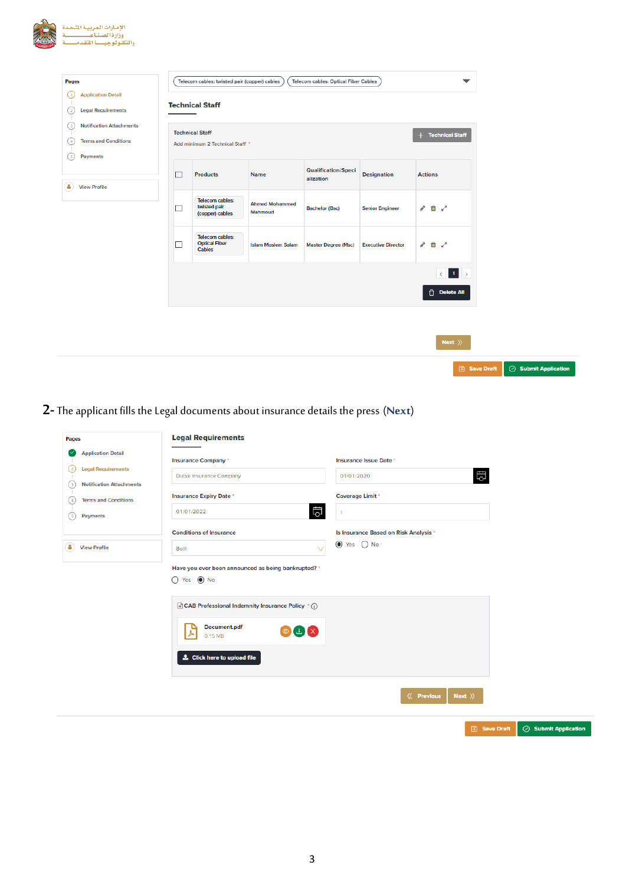| Pages                                                                                                                    |        | Telecom cables: twisted pair (copper) cables              |                                  | Telecom cables: Optical Fiber Cables    |                           | $\overline{\phantom{a}}$                                                                                                         |
|--------------------------------------------------------------------------------------------------------------------------|--------|-----------------------------------------------------------|----------------------------------|-----------------------------------------|---------------------------|----------------------------------------------------------------------------------------------------------------------------------|
| <b>Application Detail</b><br>⊙<br><b>Legal Requirements</b><br>$\left( 2\right)$                                         |        | <b>Technical Staff</b>                                    |                                  |                                         |                           |                                                                                                                                  |
| <b>Notification Attachments</b><br>$\circled{3}$<br><b>Terms and Conditions</b><br>$\left(4\right)$<br>Payments<br>( s ) |        | <b>Technical Staff</b><br>Add minimum 2 Technical Staff * |                                  |                                         |                           | + Technical Staff                                                                                                                |
| А<br><b>View Profile</b>                                                                                                 | $\Box$ | <b>Products</b>                                           | Name                             | <b>Qualification/Speci</b><br>alization | <b>Designation</b>        | <b>Actions</b>                                                                                                                   |
|                                                                                                                          | □      | Telecom cables:<br>twisted pair<br>(copper) cables        | <b>Ahmed Mohammed</b><br>Mahmoud | <b>Bachelor (Bsc)</b>                   | <b>Senior Engineer</b>    | 6 面 2                                                                                                                            |
|                                                                                                                          | $\Box$ | Telecom cables:<br><b>Optical Fiber</b><br>Cables         | <b>Islam Moslem Salam</b>        | <b>Master Degree (Msc)</b>              | <b>Executive Director</b> | $\triangle$ 0 $\angle$                                                                                                           |
|                                                                                                                          |        |                                                           |                                  |                                         |                           | $\left\vert \left\langle \cdot\right\vert \right\vert$ $\left\vert \cdot\right\vert$ $\left\vert \cdot\right\vert$<br>Delete All |
|                                                                                                                          |        |                                                           |                                  |                                         |                           |                                                                                                                                  |

## **2-**The applicant fills the Legal documents about insurance details the press (**Next**)

| Pages                                                                                                                                                                                         | <b>Legal Requirements</b>                                                                                                                                |                                                                                                                                 |
|-----------------------------------------------------------------------------------------------------------------------------------------------------------------------------------------------|----------------------------------------------------------------------------------------------------------------------------------------------------------|---------------------------------------------------------------------------------------------------------------------------------|
| <b>Application Detail</b><br>(V<br><b>Legal Requirements</b><br>$^{(2)}$<br><b>Notification Attachments</b><br>$\circ$<br><b>Terms and Conditions</b><br>$\left( 4\right)$<br>Payments<br>(5) | <b>Insurance Company</b> *<br>Dubai Insurance Company<br><b>Insurance Expiry Date *</b><br>問<br>01/01/2022<br><b>Conditions of Insurance</b>             | Insurance Issue Date *<br>問<br>01/01/2020<br><b>Coverage Limit *</b><br>$\overline{1}$<br>Is Insurance Based on Risk Analysis * |
| a<br><b>View Profile</b>                                                                                                                                                                      | $\checkmark$<br>Both<br>Have you ever been announced as being bankrupted? *<br>$O$ Yes $\odot$ No                                                        | tes ○ No                                                                                                                        |
|                                                                                                                                                                                               | CAB Professional Indemnity Insurance Policy (iii)<br>Document.pdf<br>$\circledcirc$ $\perp$ $\times$<br>0.15 MB<br>$\triangle$ Click here to upload file |                                                                                                                                 |
|                                                                                                                                                                                               |                                                                                                                                                          | $\langle\langle$ Previous<br>Next $\rangle$                                                                                     |
|                                                                                                                                                                                               |                                                                                                                                                          | $\circledcirc$ Submit Application<br><b>圖 Save Draft</b>                                                                        |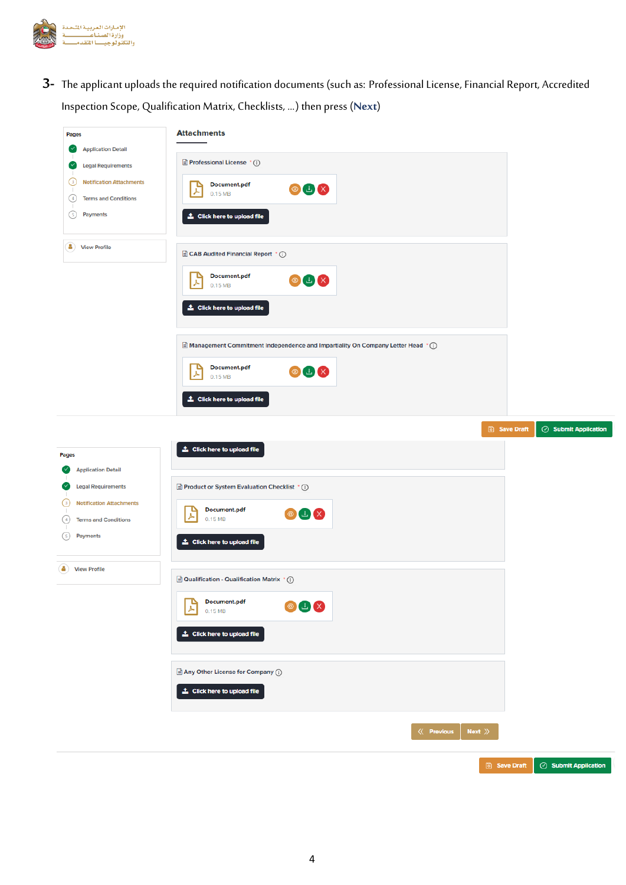

**3-** The applicant uploads the required notification documents (such as: Professional License, Financial Report, Accredited Inspection Scope, Qualification Matrix, Checklists, ...) then press (**Next**)

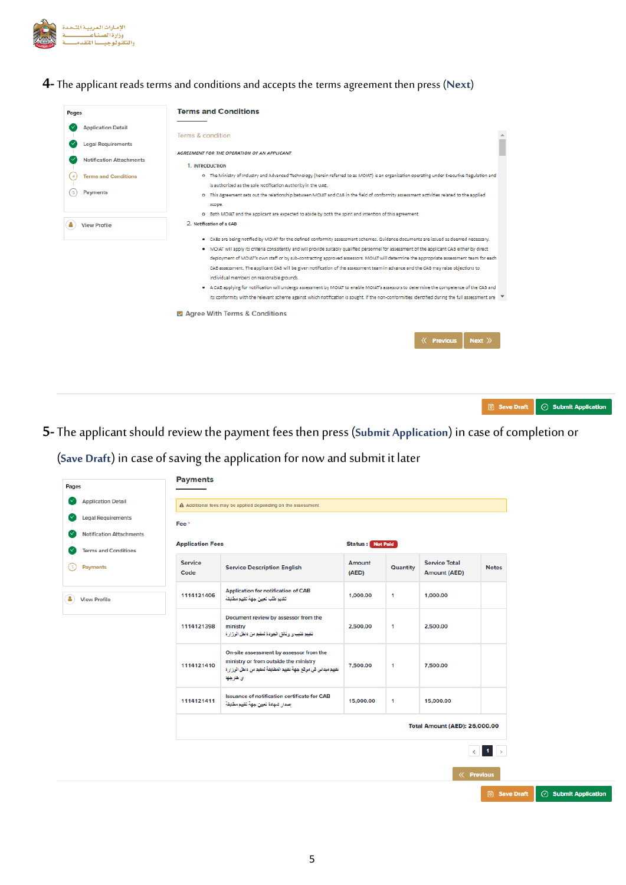

#### **4-**The applicant reads terms and conditions and accepts the termsagreement then press (**Next**)

| <b>Application Detail</b><br><b>Legal Requirements</b> | Terms & condition                                                                                                                                         |
|--------------------------------------------------------|-----------------------------------------------------------------------------------------------------------------------------------------------------------|
|                                                        |                                                                                                                                                           |
|                                                        |                                                                                                                                                           |
|                                                        | AGREEMENT FOR THE OPERATION OF AN APPLICANT                                                                                                               |
| <b>Notification Attachments</b>                        | 1. INTRODUCTION                                                                                                                                           |
| <b>Terms and Conditions</b>                            | O The Ministry of Industry and Advanced Technology (herein referred to as MOIAT) is an organization operating under Executive Regulation and              |
|                                                        | is authorized as the sole Notification Authority in the UAE.                                                                                              |
| Payments                                               | o This Agreement sets out the relationship between MOIAT and CAB in the field of conformity assessment activities related to the applied                  |
|                                                        | scope.                                                                                                                                                    |
|                                                        | O Both MOIAT and the applicant are expected to abide by both the spirit and intention of this agreement.                                                  |
| <b>View Profile</b>                                    | 2. Notification of a CAB                                                                                                                                  |
|                                                        | . CABs are being notified by MOIAT for the defined conformity assessment schemes. Guidance documents are issued as deemed necessary.                      |
|                                                        | . MOIAT will apply its criteria consistently and will provide suitably qualified personnel for assessment of the applicant CAB either by direct           |
|                                                        | deployment of MOIAT's own staff or by sub-contracting approved assessors. MOIAT will determine the appropriate assessment team for each                   |
|                                                        | CAB assessment. The applicant CAB will be given notification of the assessment team in advance and the CAB may raise objections to                        |
|                                                        | individual members on reasonable grounds.                                                                                                                 |
|                                                        | A CAB applying for notification will undergo assessment by MOIAT to enable MOIAT's assessors to determine the competence of the CAB and                   |
|                                                        | its conformity with the relevant scheme against which notification is sought. If the non-conformities identified during the full assessment are $\mathbf$ |
|                                                        | Agree With Terms & Conditions                                                                                                                             |
|                                                        |                                                                                                                                                           |
|                                                        | <b><i>K</i></b> Previous<br>Next $\rangle$                                                                                                                |
|                                                        |                                                                                                                                                           |

**5** Save Draft **Submit Application** 

**5-**The applicant should reviewthe payment fees then press (**Submit Application**) in case of completion or

(**Save Draft**) in case of saving the application for now and submit it later

| Pages |                                         | <b>Payments</b>         |                                                                                                                                                                |                         |              |                                             |                                                                                      |  |
|-------|-----------------------------------------|-------------------------|----------------------------------------------------------------------------------------------------------------------------------------------------------------|-------------------------|--------------|---------------------------------------------|--------------------------------------------------------------------------------------|--|
|       | <b>Application Detail</b>               |                         | A Additional fees may be applied depending on the assessment                                                                                                   |                         |              |                                             |                                                                                      |  |
| (V    | <b>Legal Requirements</b>               | Fee*                    |                                                                                                                                                                |                         |              |                                             |                                                                                      |  |
|       | <b>Notification Attachments</b>         | <b>Application Fees</b> |                                                                                                                                                                | <b>Status:</b> Not Paid |              |                                             |                                                                                      |  |
| 51    | <b>Terms and Conditions</b><br>Payments | <b>Service</b><br>Code  | <b>Service Description English</b>                                                                                                                             | Amount<br>(AED)         | Quantity     | <b>Service Total</b><br><b>Amount (AED)</b> | <b>Notes</b>                                                                         |  |
| a     | <b>View Profile</b>                     | 1114121406              | <b>Application for notification of CAB</b><br>تتديم طلب تعيين جهة تتييم مطايقة                                                                                 | 1,000.00                | $\mathbf{1}$ | 1,000.00                                    |                                                                                      |  |
|       |                                         | 1114121398              | Document review by assessor from the<br>ministry<br>تقييم كتيب و وثائق الجودة لمقيم من داخل الوزارة                                                            | 2,500.00                | $\mathbf{1}$ | 2,500.00                                    |                                                                                      |  |
|       |                                         | 1114121410              | On-site assessment by assessor from the<br>ministry or from outside the ministry<br>تقييم ميداني في موقع جهة تقييم المطابقة لمقيم من داخل الوزارة<br>ای خارجها | 7,500.00                | $\mathbf{1}$ | 7,500.00                                    |                                                                                      |  |
|       |                                         | 1114121411              | Issuance of notification certificate for CAB<br>إصدار شهادة تعيين جهة تقييم مطايقة                                                                             | 15,000.00               | $\mathbf{1}$ | 15,000.00                                   |                                                                                      |  |
|       |                                         |                         |                                                                                                                                                                |                         |              | <b>Total Amount (AED): 26,000.00</b>        |                                                                                      |  |
|       |                                         |                         |                                                                                                                                                                |                         |              |                                             | $\left\langle \mathbf{c} \right\rangle$ . If $\left\langle \mathbf{c} \right\rangle$ |  |
|       |                                         |                         |                                                                                                                                                                |                         |              | <b><i>K</i></b> Previous                    |                                                                                      |  |
|       |                                         |                         |                                                                                                                                                                |                         |              |                                             | <b>圖 Save Draft</b>                                                                  |  |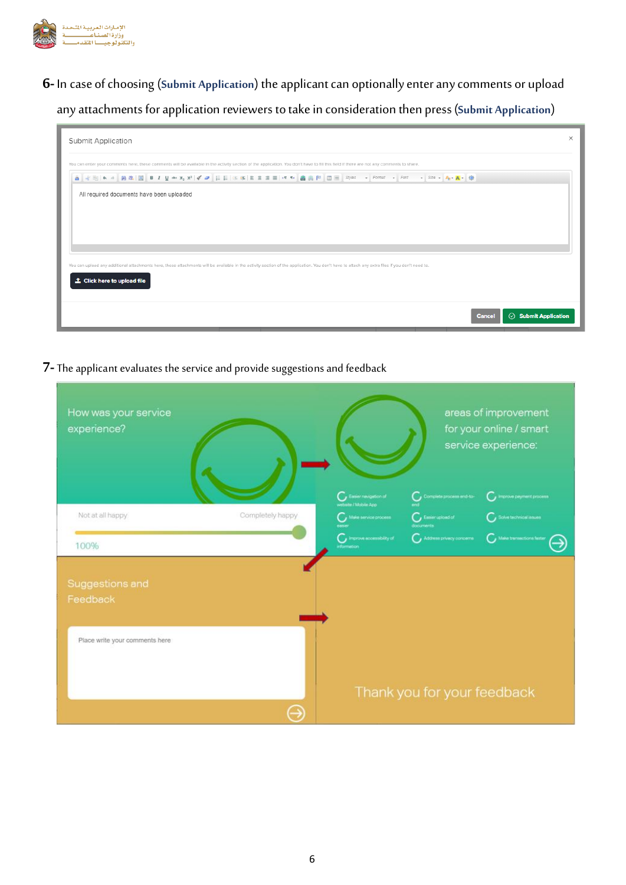

**6-**In case of choosing (**Submit Application**) the applicant can optionally enter any comments or upload any attachments for application reviewers to take in consideration then press (**Submit Application**)

| Submit Application                                                                                                                                                                             | X |
|------------------------------------------------------------------------------------------------------------------------------------------------------------------------------------------------|---|
| You can enter your comments here, these comments will be available in the activity section of the application. You don't have to fill this field if there are not any comments to share.       |   |
| <b>8 イモトゥ 発生図 BIDI A × 32 イコ E E エロエト 名高 P □ =   Syles -   Format -   Fort -   Size -   A + A + ①</b>                                                                                          |   |
| All required documents have been uploaded                                                                                                                                                      |   |
|                                                                                                                                                                                                |   |
|                                                                                                                                                                                                |   |
|                                                                                                                                                                                                |   |
| You can upload any additional attachments here, these attachments will be available in the activity section of the application. You don't have to attach any extra files if you don't need to. |   |
| <b>主 Click here to upload file</b>                                                                                                                                                             |   |
|                                                                                                                                                                                                |   |
| $\odot$ Submit Application<br>Cancel                                                                                                                                                           |   |

**7-**The applicant evaluates the service and provide suggestions and feedback

| How was your service<br>experience? |                  |                                                          |                                      | areas of improvement<br>for your online / smart<br>service experience: |
|-------------------------------------|------------------|----------------------------------------------------------|--------------------------------------|------------------------------------------------------------------------|
|                                     |                  | $\bigcap$ , Easier revigation of<br>weterte / Mobile App | $C_{\rm J}$ Complete process and to- | Improve payment process                                                |
| Not at all happy                    | Completely happy | Make service process                                     | $C_{I}$ Empire upload of<br>document | Solve technical inques                                                 |
| 100%                                |                  | $G$ improve accessibility of<br>information              | Address privecy concerns             | $C_{s}$ Make transactions feater                                       |
| Suggestions and<br>Feedback         |                  |                                                          |                                      |                                                                        |
| Place write your comments here      |                  |                                                          | Thank you for your feedback          |                                                                        |
|                                     |                  |                                                          |                                      |                                                                        |